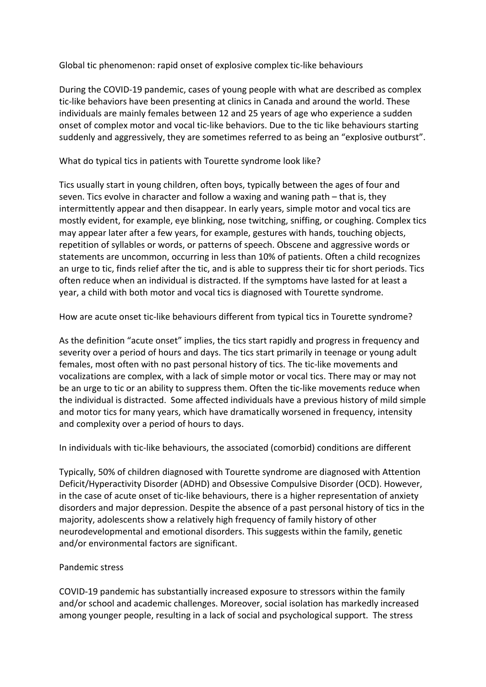Global tic phenomenon: rapid onset of explosive complex tic-like behaviours

During the COVID-19 pandemic, cases of young people with what are described as complex tic-like behaviors have been presenting at clinics in Canada and around the world. These individuals are mainly females between 12 and 25 years of age who experience a sudden onset of complex motor and vocal tic-like behaviors. Due to the tic like behaviours starting suddenly and aggressively, they are sometimes referred to as being an "explosive outburst".

What do typical tics in patients with Tourette syndrome look like?

Tics usually start in young children, often boys, typically between the ages of four and seven. Tics evolve in character and follow a waxing and waning path – that is, they intermittently appear and then disappear. In early years, simple motor and vocal tics are mostly evident, for example, eye blinking, nose twitching, sniffing, or coughing. Complex tics may appear later after a few years, for example, gestures with hands, touching objects, repetition of syllables or words, or patterns of speech. Obscene and aggressive words or statements are uncommon, occurring in less than 10% of patients. Often a child recognizes an urge to tic, finds relief after the tic, and is able to suppress their tic for short periods. Tics often reduce when an individual is distracted. If the symptoms have lasted for at least a year, a child with both motor and vocal tics is diagnosed with Tourette syndrome.

How are acute onset tic-like behaviours different from typical tics in Tourette syndrome?

As the definition "acute onset" implies, the tics start rapidly and progress in frequency and severity over a period of hours and days. The tics start primarily in teenage or young adult females, most often with no past personal history of tics. The tic-like movements and vocalizations are complex, with a lack of simple motor or vocal tics. There may or may not be an urge to tic or an ability to suppress them. Often the tic-like movements reduce when the individual is distracted. Some affected individuals have a previous history of mild simple and motor tics for many years, which have dramatically worsened in frequency, intensity and complexity over a period of hours to days.

In individuals with tic-like behaviours, the associated (comorbid) conditions are different

Typically, 50% of children diagnosed with Tourette syndrome are diagnosed with Attention Deficit/Hyperactivity Disorder (ADHD) and Obsessive Compulsive Disorder (OCD). However, in the case of acute onset of tic-like behaviours, there is a higher representation of anxiety disorders and major depression. Despite the absence of a past personal history of tics in the majority, adolescents show a relatively high frequency of family history of other neurodevelopmental and emotional disorders. This suggests within the family, genetic and/or environmental factors are significant.

## Pandemic stress

COVID-19 pandemic has substantially increased exposure to stressors within the family and/or school and academic challenges. Moreover, social isolation has markedly increased among younger people, resulting in a lack of social and psychological support. The stress